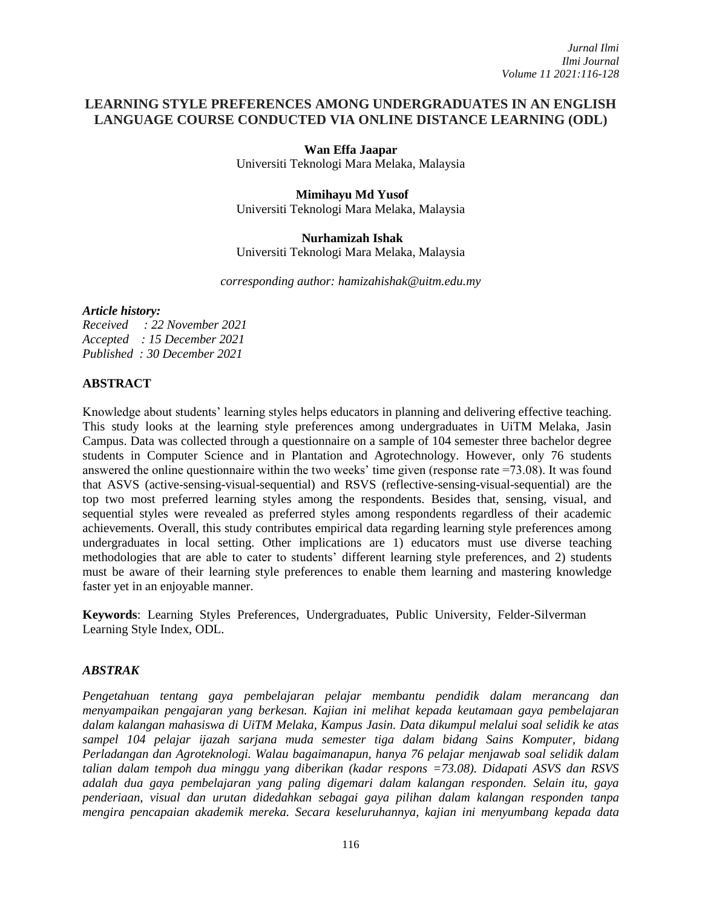# **LEARNING STYLE PREFERENCES AMONG UNDERGRADUATES IN AN ENGLISH LANGUAGE COURSE CONDUCTED VIA ONLINE DISTANCE LEARNING (ODL)**

#### **Wan Effa Jaapar**

Universiti Teknologi Mara Melaka, Malaysia

## **Mimihayu Md Yusof** Universiti Teknologi Mara Melaka, Malaysia

#### **Nurhamizah Ishak**

Universiti Teknologi Mara Melaka, Malaysia

*corresponding author: hamizahishak@uitm.edu.my* 

## *Article history:*

*Received : 22 November 2021 Accepted : 15 December 2021 Published : 30 December 2021*

## **ABSTRACT**

Knowledge about students' learning styles helps educators in planning and delivering effective teaching. This study looks at the learning style preferences among undergraduates in UiTM Melaka, Jasin Campus. Data was collected through a questionnaire on a sample of 104 semester three bachelor degree students in Computer Science and in Plantation and Agrotechnology. However, only 76 students answered the online questionnaire within the two weeks' time given (response rate =73.08). It was found that ASVS (active-sensing-visual-sequential) and RSVS (reflective-sensing-visual-sequential) are the top two most preferred learning styles among the respondents. Besides that, sensing, visual, and sequential styles were revealed as preferred styles among respondents regardless of their academic achievements. Overall, this study contributes empirical data regarding learning style preferences among undergraduates in local setting. Other implications are 1) educators must use diverse teaching methodologies that are able to cater to students' different learning style preferences, and 2) students must be aware of their learning style preferences to enable them learning and mastering knowledge faster yet in an enjoyable manner.

**Keywords**: Learning Styles Preferences, Undergraduates, Public University, Felder-Silverman Learning Style Index, ODL.

## *ABSTRAK*

*Pengetahuan tentang gaya pembelajaran pelajar membantu pendidik dalam merancang dan menyampaikan pengajaran yang berkesan. Kajian ini melihat kepada keutamaan gaya pembelajaran dalam kalangan mahasiswa di UiTM Melaka, Kampus Jasin. Data dikumpul melalui soal selidik ke atas sampel 104 pelajar ijazah sarjana muda semester tiga dalam bidang Sains Komputer, bidang Perladangan dan Agroteknologi. Walau bagaimanapun, hanya 76 pelajar menjawab soal selidik dalam talian dalam tempoh dua minggu yang diberikan (kadar respons =73.08). Didapati ASVS dan RSVS adalah dua gaya pembelajaran yang paling digemari dalam kalangan responden. Selain itu, gaya penderiaan, visual dan urutan didedahkan sebagai gaya pilihan dalam kalangan responden tanpa mengira pencapaian akademik mereka. Secara keseluruhannya, kajian ini menyumbang kepada data*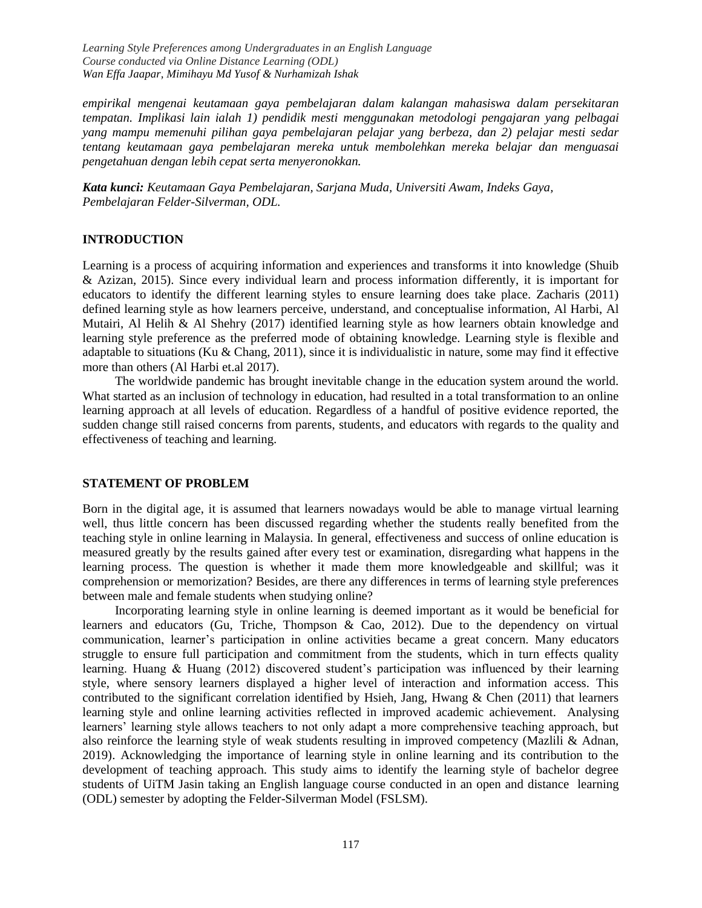*empirikal mengenai keutamaan gaya pembelajaran dalam kalangan mahasiswa dalam persekitaran tempatan. Implikasi lain ialah 1) pendidik mesti menggunakan metodologi pengajaran yang pelbagai yang mampu memenuhi pilihan gaya pembelajaran pelajar yang berbeza, dan 2) pelajar mesti sedar tentang keutamaan gaya pembelajaran mereka untuk membolehkan mereka belajar dan menguasai pengetahuan dengan lebih cepat serta menyeronokkan.*

*Kata kunci: Keutamaan Gaya Pembelajaran, Sarjana Muda, Universiti Awam, Indeks Gaya, Pembelajaran Felder-Silverman, ODL.*

## **INTRODUCTION**

Learning is a process of acquiring information and experiences and transforms it into knowledge (Shuib & Azizan, 2015). Since every individual learn and process information differently, it is important for educators to identify the different learning styles to ensure learning does take place. Zacharis (2011) defined learning style as how learners perceive, understand, and conceptualise information, Al Harbi, Al Mutairi, Al Helih & Al Shehry (2017) identified learning style as how learners obtain knowledge and learning style preference as the preferred mode of obtaining knowledge. Learning style is flexible and adaptable to situations (Ku  $\&$  Chang, 2011), since it is individualistic in nature, some may find it effective more than others (Al Harbi et.al 2017).

The worldwide pandemic has brought inevitable change in the education system around the world. What started as an inclusion of technology in education, had resulted in a total transformation to an online learning approach at all levels of education. Regardless of a handful of positive evidence reported, the sudden change still raised concerns from parents, students, and educators with regards to the quality and effectiveness of teaching and learning.

#### **STATEMENT OF PROBLEM**

Born in the digital age, it is assumed that learners nowadays would be able to manage virtual learning well, thus little concern has been discussed regarding whether the students really benefited from the teaching style in online learning in Malaysia. In general, effectiveness and success of online education is measured greatly by the results gained after every test or examination, disregarding what happens in the learning process. The question is whether it made them more knowledgeable and skillful; was it comprehension or memorization? Besides, are there any differences in terms of learning style preferences between male and female students when studying online?

Incorporating learning style in online learning is deemed important as it would be beneficial for learners and educators (Gu, Triche, Thompson & Cao, 2012). Due to the dependency on virtual communication, learner's participation in online activities became a great concern. Many educators struggle to ensure full participation and commitment from the students, which in turn effects quality learning. Huang & Huang (2012) discovered student's participation was influenced by their learning style, where sensory learners displayed a higher level of interaction and information access. This contributed to the significant correlation identified by Hsieh, Jang, Hwang  $\&$  Chen (2011) that learners learning style and online learning activities reflected in improved academic achievement. Analysing learners' learning style allows teachers to not only adapt a more comprehensive teaching approach, but also reinforce the learning style of weak students resulting in improved competency (Mazlili & Adnan, 2019). Acknowledging the importance of learning style in online learning and its contribution to the development of teaching approach. This study aims to identify the learning style of bachelor degree students of UiTM Jasin taking an English language course conducted in an open and distance learning (ODL) semester by adopting the Felder-Silverman Model (FSLSM).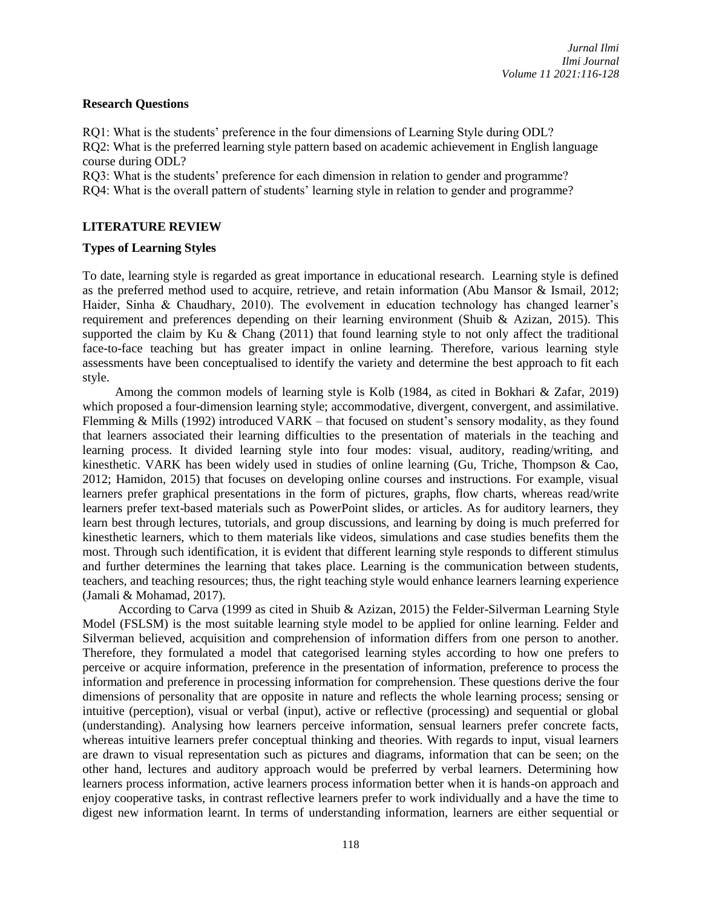## **Research Questions**

RQ1: What is the students' preference in the four dimensions of Learning Style during ODL? RQ2: What is the preferred learning style pattern based on academic achievement in English language course during ODL?

RQ3: What is the students' preference for each dimension in relation to gender and programme? RQ4: What is the overall pattern of students' learning style in relation to gender and programme?

## **LITERATURE REVIEW**

## **Types of Learning Styles**

To date, learning style is regarded as great importance in educational research. Learning style is defined as the preferred method used to acquire, retrieve, and retain information (Abu Mansor & Ismail, 2012; Haider, Sinha & Chaudhary, 2010). The evolvement in education technology has changed learner's requirement and preferences depending on their learning environment (Shuib & Azizan, 2015). This supported the claim by Ku & Chang (2011) that found learning style to not only affect the traditional face-to-face teaching but has greater impact in online learning. Therefore, various learning style assessments have been conceptualised to identify the variety and determine the best approach to fit each style.

Among the common models of learning style is Kolb (1984, as cited in Bokhari & Zafar, 2019) which proposed a four-dimension learning style; accommodative, divergent, convergent, and assimilative. Flemming & Mills (1992) introduced VARK – that focused on student's sensory modality, as they found that learners associated their learning difficulties to the presentation of materials in the teaching and learning process. It divided learning style into four modes: visual, auditory, reading/writing, and kinesthetic. VARK has been widely used in studies of online learning (Gu, Triche, Thompson & Cao, 2012; Hamidon, 2015) that focuses on developing online courses and instructions. For example, visual learners prefer graphical presentations in the form of pictures, graphs, flow charts, whereas read/write learners prefer text-based materials such as PowerPoint slides, or articles. As for auditory learners, they learn best through lectures, tutorials, and group discussions, and learning by doing is much preferred for kinesthetic learners, which to them materials like videos, simulations and case studies benefits them the most. Through such identification, it is evident that different learning style responds to different stimulus and further determines the learning that takes place. Learning is the communication between students, teachers, and teaching resources; thus, the right teaching style would enhance learners learning experience (Jamali & Mohamad, 2017).

According to Carva (1999 as cited in Shuib & Azizan, 2015) the Felder-Silverman Learning Style Model (FSLSM) is the most suitable learning style model to be applied for online learning. Felder and Silverman believed, acquisition and comprehension of information differs from one person to another. Therefore, they formulated a model that categorised learning styles according to how one prefers to perceive or acquire information, preference in the presentation of information, preference to process the information and preference in processing information for comprehension. These questions derive the four dimensions of personality that are opposite in nature and reflects the whole learning process; sensing or intuitive (perception), visual or verbal (input), active or reflective (processing) and sequential or global (understanding). Analysing how learners perceive information, sensual learners prefer concrete facts, whereas intuitive learners prefer conceptual thinking and theories. With regards to input, visual learners are drawn to visual representation such as pictures and diagrams, information that can be seen; on the other hand, lectures and auditory approach would be preferred by verbal learners. Determining how learners process information, active learners process information better when it is hands-on approach and enjoy cooperative tasks, in contrast reflective learners prefer to work individually and a have the time to digest new information learnt. In terms of understanding information, learners are either sequential or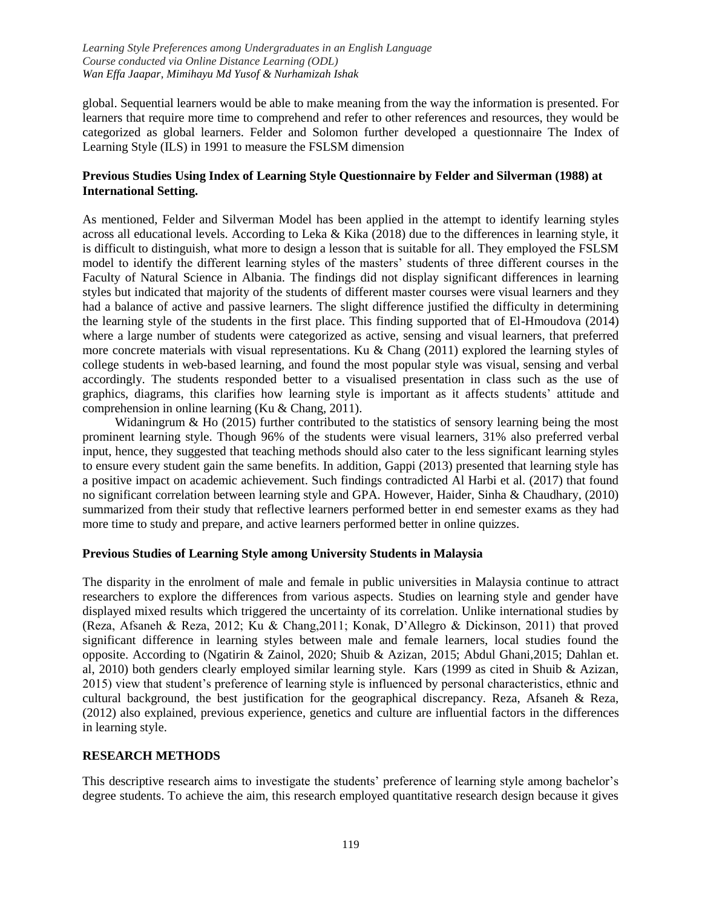global. Sequential learners would be able to make meaning from the way the information is presented. For learners that require more time to comprehend and refer to other references and resources, they would be categorized as global learners. Felder and Solomon further developed a questionnaire The Index of Learning Style (ILS) in 1991 to measure the FSLSM dimension

## **Previous Studies Using Index of Learning Style Questionnaire by Felder and Silverman (1988) at International Setting.**

As mentioned, Felder and Silverman Model has been applied in the attempt to identify learning styles across all educational levels. According to Leka & Kika (2018) due to the differences in learning style, it is difficult to distinguish, what more to design a lesson that is suitable for all. They employed the FSLSM model to identify the different learning styles of the masters' students of three different courses in the Faculty of Natural Science in Albania. The findings did not display significant differences in learning styles but indicated that majority of the students of different master courses were visual learners and they had a balance of active and passive learners. The slight difference justified the difficulty in determining the learning style of the students in the first place. This finding supported that of El-Hmoudova (2014) where a large number of students were categorized as active, sensing and visual learners, that preferred more concrete materials with visual representations. Ku & Chang (2011) explored the learning styles of college students in web-based learning, and found the most popular style was visual, sensing and verbal accordingly. The students responded better to a visualised presentation in class such as the use of graphics, diagrams, this clarifies how learning style is important as it affects students' attitude and comprehension in online learning (Ku & Chang, 2011).

Widaningrum & Ho (2015) further contributed to the statistics of sensory learning being the most prominent learning style. Though 96% of the students were visual learners, 31% also preferred verbal input, hence, they suggested that teaching methods should also cater to the less significant learning styles to ensure every student gain the same benefits. In addition, Gappi (2013) presented that learning style has a positive impact on academic achievement. Such findings contradicted Al Harbi et al. (2017) that found no significant correlation between learning style and GPA. However, Haider, Sinha & Chaudhary, (2010) summarized from their study that reflective learners performed better in end semester exams as they had more time to study and prepare, and active learners performed better in online quizzes.

## **Previous Studies of Learning Style among University Students in Malaysia**

The disparity in the enrolment of male and female in public universities in Malaysia continue to attract researchers to explore the differences from various aspects. Studies on learning style and gender have displayed mixed results which triggered the uncertainty of its correlation. Unlike international studies by (Reza, Afsaneh & Reza, 2012; Ku & Chang,2011; Konak, D'Allegro & Dickinson, 2011) that proved significant difference in learning styles between male and female learners, local studies found the opposite. According to (Ngatirin & Zainol, 2020; Shuib & Azizan, 2015; Abdul Ghani,2015; Dahlan et. al, 2010) both genders clearly employed similar learning style. Kars (1999 as cited in Shuib & Azizan, 2015) view that student's preference of learning style is influenced by personal characteristics, ethnic and cultural background, the best justification for the geographical discrepancy. Reza, Afsaneh & Reza, (2012) also explained, previous experience, genetics and culture are influential factors in the differences in learning style.

## **RESEARCH METHODS**

This descriptive research aims to investigate the students' preference of learning style among bachelor's degree students. To achieve the aim, this research employed quantitative research design because it gives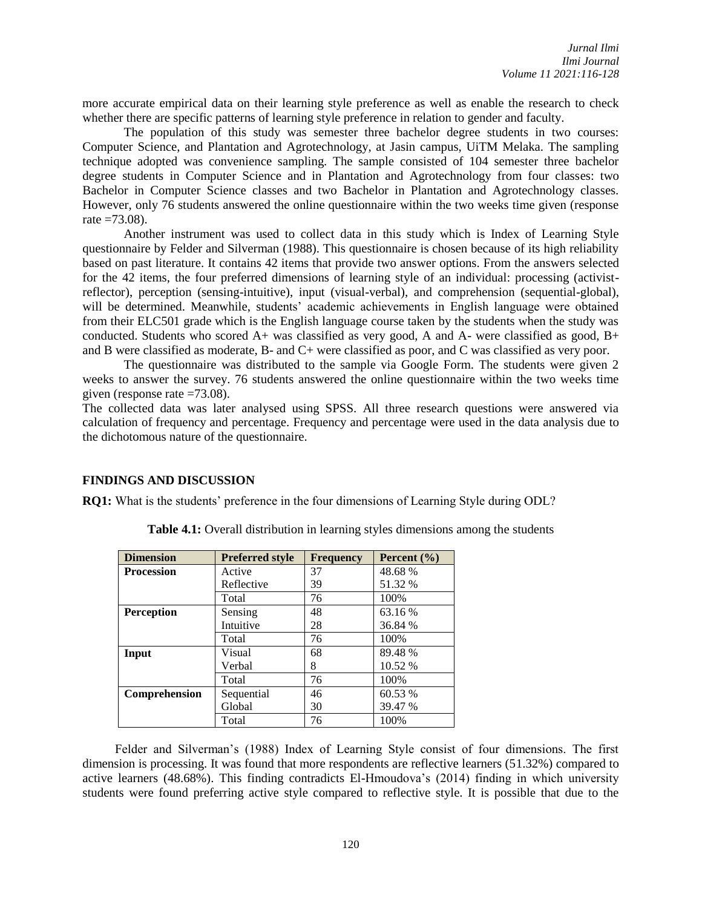more accurate empirical data on their learning style preference as well as enable the research to check whether there are specific patterns of learning style preference in relation to gender and faculty.

The population of this study was semester three bachelor degree students in two courses: Computer Science, and Plantation and Agrotechnology, at Jasin campus, UiTM Melaka. The sampling technique adopted was convenience sampling. The sample consisted of 104 semester three bachelor degree students in Computer Science and in Plantation and Agrotechnology from four classes: two Bachelor in Computer Science classes and two Bachelor in Plantation and Agrotechnology classes. However, only 76 students answered the online questionnaire within the two weeks time given (response rate  $=73.08$ ).

Another instrument was used to collect data in this study which is Index of Learning Style questionnaire by Felder and Silverman (1988). This questionnaire is chosen because of its high reliability based on past literature. It contains 42 items that provide two answer options. From the answers selected for the 42 items, the four preferred dimensions of learning style of an individual: processing (activistreflector), perception (sensing-intuitive), input (visual-verbal), and comprehension (sequential-global), will be determined. Meanwhile, students' academic achievements in English language were obtained from their ELC501 grade which is the English language course taken by the students when the study was conducted. Students who scored  $A+$  was classified as very good, A and A- were classified as good,  $B+$ and B were classified as moderate, B- and C+ were classified as poor, and C was classified as very poor.

The questionnaire was distributed to the sample via Google Form. The students were given 2 weeks to answer the survey. 76 students answered the online questionnaire within the two weeks time given (response rate =73.08).

The collected data was later analysed using SPSS. All three research questions were answered via calculation of frequency and percentage. Frequency and percentage were used in the data analysis due to the dichotomous nature of the questionnaire.

#### **FINDINGS AND DISCUSSION**

**RQ1:** What is the students' preference in the four dimensions of Learning Style during ODL?

| <b>Dimension</b>  | <b>Preferred style</b> | <b>Frequency</b> | Percent $(\% )$ |
|-------------------|------------------------|------------------|-----------------|
| <b>Procession</b> | Active                 | 37               | 48.68%          |
|                   | Reflective             | 39               | 51.32 %         |
|                   | Total                  | 76               | 100%            |
| <b>Perception</b> | Sensing                | 48               | 63.16 %         |
|                   | Intuitive              | 28               | 36.84 %         |
|                   | Total                  | 76               | 100\%           |
| Input             | Visual                 | 68               | 89.48%          |
|                   | Verbal                 | 8                | 10.52 %         |
|                   | Total                  | 76               | 100\%           |
| Comprehension     | Sequential             | 46               | 60.53 %         |
|                   | Global                 | 30               | 39.47 %         |
|                   | Total                  | 76               | 100%            |

**Table 4.1:** Overall distribution in learning styles dimensions among the students

Felder and Silverman's (1988) Index of Learning Style consist of four dimensions. The first dimension is processing. It was found that more respondents are reflective learners (51.32%) compared to active learners (48.68%). This finding contradicts El-Hmoudova's (2014) finding in which university students were found preferring active style compared to reflective style. It is possible that due to the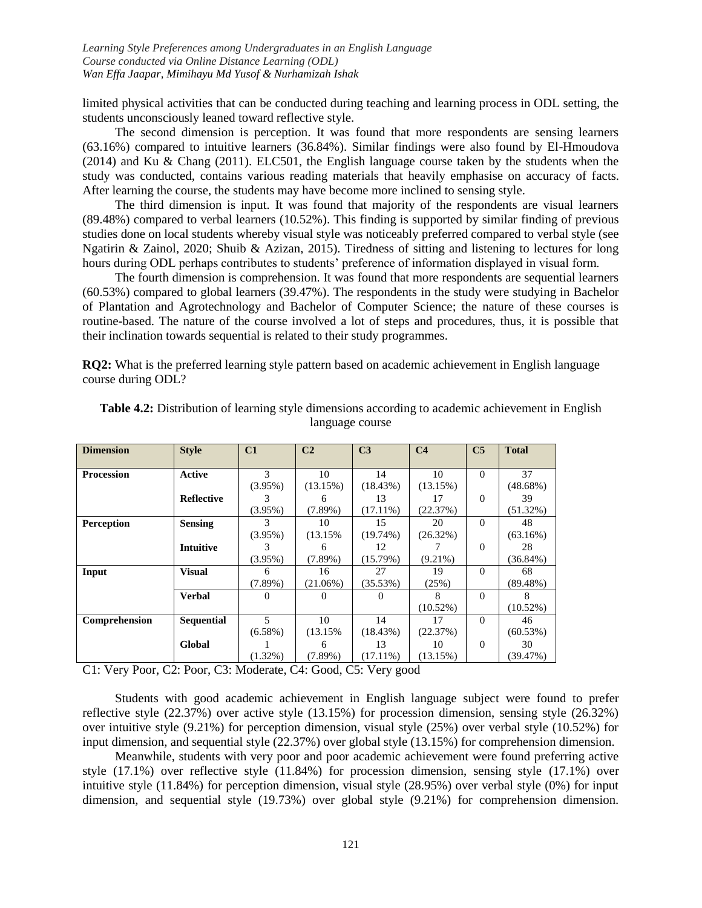limited physical activities that can be conducted during teaching and learning process in ODL setting, the students unconsciously leaned toward reflective style.

The second dimension is perception. It was found that more respondents are sensing learners (63.16%) compared to intuitive learners (36.84%). Similar findings were also found by El-Hmoudova (2014) and Ku & Chang (2011). ELC501, the English language course taken by the students when the study was conducted, contains various reading materials that heavily emphasise on accuracy of facts. After learning the course, the students may have become more inclined to sensing style.

The third dimension is input. It was found that majority of the respondents are visual learners (89.48%) compared to verbal learners (10.52%). This finding is supported by similar finding of previous studies done on local students whereby visual style was noticeably preferred compared to verbal style (see Ngatirin & Zainol, 2020; Shuib & Azizan, 2015). Tiredness of sitting and listening to lectures for long hours during ODL perhaps contributes to students' preference of information displayed in visual form.

The fourth dimension is comprehension. It was found that more respondents are sequential learners (60.53%) compared to global learners (39.47%). The respondents in the study were studying in Bachelor of Plantation and Agrotechnology and Bachelor of Computer Science; the nature of these courses is routine-based. The nature of the course involved a lot of steps and procedures, thus, it is possible that their inclination towards sequential is related to their study programmes.

**RQ2:** What is the preferred learning style pattern based on academic achievement in English language course during ODL?

| <b>Dimension</b>  | <b>Style</b>      | C1            | C <sub>2</sub> | C <sub>3</sub> | C <sub>4</sub> | C <sub>5</sub> | <b>Total</b> |
|-------------------|-------------------|---------------|----------------|----------------|----------------|----------------|--------------|
|                   |                   |               |                |                |                |                |              |
| <b>Procession</b> | <b>Active</b>     | $\mathcal{R}$ | 10             | 14             | 10             | $\Omega$       | 37           |
|                   |                   | $(3.95\%)$    | (13.15%)       | (18.43%)       | (13.15%)       |                | $(48.68\%)$  |
|                   | <b>Reflective</b> |               | 6              | 13             | 17             | $\Omega$       | 39           |
|                   |                   | $(3.95\%)$    | $(7.89\%)$     | $(17.11\%)$    | (22.37%)       |                | $(51.32\%)$  |
| <b>Perception</b> | <b>Sensing</b>    | 3             | 10             | 15             | 20             | $\Omega$       | 48           |
|                   |                   | $(3.95\%)$    | (13.15%        | $(19.74\%)$    | (26.32%)       |                | (63.16%)     |
|                   | <b>Intuitive</b>  | 3             | 6              | 12             |                | $\Omega$       | 28           |
|                   |                   | $(3.95\%)$    | $(7.89\%)$     | (15.79%)       | $(9.21\%)$     |                | $(36.84\%)$  |
| Input             | <b>Visual</b>     | 6             | 16             | 27             | 19             | $\Omega$       | 68           |
|                   |                   | $(7.89\%)$    | $(21.06\%)$    | (35.53%)       | (25%)          |                | $(89.48\%)$  |
|                   | <b>Verbal</b>     | $\Omega$      | $\theta$       | $\theta$       | 8              | $\Omega$       | 8            |
|                   |                   |               |                |                | $(10.52\%)$    |                | $(10.52\%)$  |
| Comprehension     | <b>Sequential</b> | 5             | 10             | 14             | 17             | 0              | 46           |
|                   |                   | $(6.58\%)$    | (13.15%        | (18.43%)       | (22.37%)       |                | (60.53%)     |
|                   | <b>Global</b>     |               | 6              | 13             | 10             | $\Omega$       | 30           |
|                   |                   | $(1.32\%)$    | $(7.89\%)$     | $(17.11\%)$    | (13.15%)       |                | (39.47%)     |

**Table 4.2:** Distribution of learning style dimensions according to academic achievement in English language course

C1: Very Poor, C2: Poor, C3: Moderate, C4: Good, C5: Very good

Students with good academic achievement in English language subject were found to prefer reflective style (22.37%) over active style (13.15%) for procession dimension, sensing style (26.32%) over intuitive style (9.21%) for perception dimension, visual style (25%) over verbal style (10.52%) for input dimension, and sequential style (22.37%) over global style (13.15%) for comprehension dimension.

Meanwhile, students with very poor and poor academic achievement were found preferring active style (17.1%) over reflective style (11.84%) for procession dimension, sensing style (17.1%) over intuitive style (11.84%) for perception dimension, visual style (28.95%) over verbal style (0%) for input dimension, and sequential style (19.73%) over global style (9.21%) for comprehension dimension.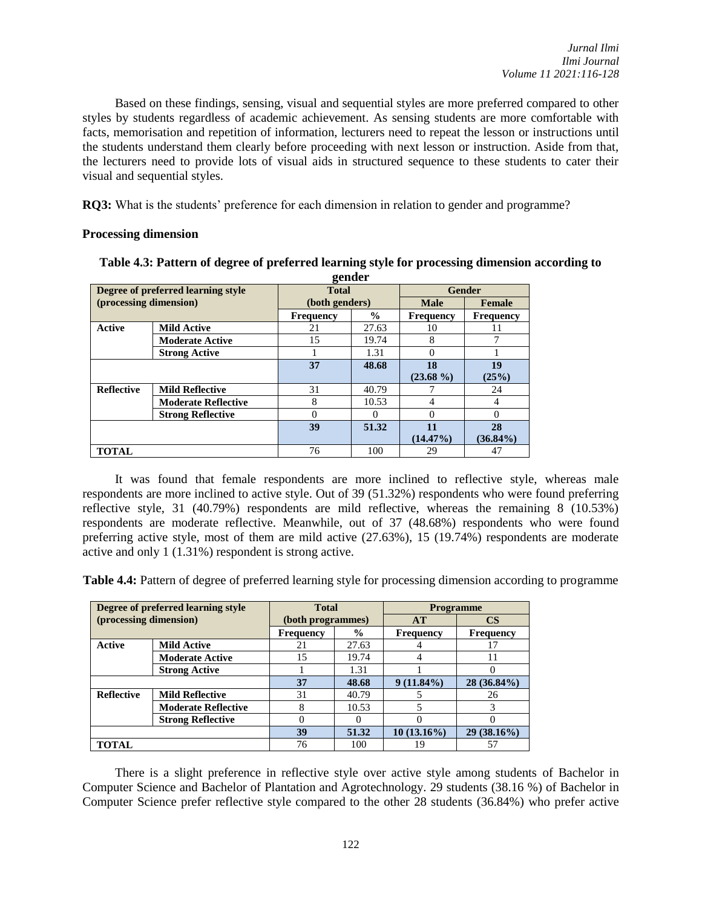Based on these findings, sensing, visual and sequential styles are more preferred compared to other styles by students regardless of academic achievement. As sensing students are more comfortable with facts, memorisation and repetition of information, lecturers need to repeat the lesson or instructions until the students understand them clearly before proceeding with next lesson or instruction. Aside from that, the lecturers need to provide lots of visual aids in structured sequence to these students to cater their visual and sequential styles.

**RQ3:** What is the students' preference for each dimension in relation to gender and programme?

## **Processing dimension**

| gender                 |                                    |                  |               |                  |                  |
|------------------------|------------------------------------|------------------|---------------|------------------|------------------|
|                        | Degree of preferred learning style | <b>Total</b>     |               |                  | <b>Gender</b>    |
| (processing dimension) |                                    | (both genders)   |               | <b>Male</b>      | Female           |
|                        |                                    | <b>Frequency</b> | $\frac{0}{0}$ | <b>Frequency</b> | <b>Frequency</b> |
| <b>Active</b>          | <b>Mild Active</b>                 | 21               | 27.63         | 10               | 11               |
|                        | <b>Moderate Active</b>             | 15               | 19.74         | 8                |                  |
|                        | <b>Strong Active</b>               |                  | 1.31          | 0                |                  |
|                        |                                    | 37               | 48.68         | 18               | 19               |
|                        |                                    |                  |               | $(23.68\%)$      | (25%)            |
| <b>Reflective</b>      | <b>Mild Reflective</b>             | 31               | 40.79         |                  | 24               |
|                        | <b>Moderate Reflective</b>         | 8                | 10.53         | $\overline{4}$   | 4                |
|                        | <b>Strong Reflective</b>           | 0                | $\theta$      | 0                |                  |
|                        |                                    | 39               | 51.32         | 11               | 28               |
|                        |                                    |                  |               | $(14.47\%)$      | $(36.84\%)$      |
| <b>TOTAL</b>           |                                    | 76               | 100           | 29               | 47               |

# **Table 4.3: Pattern of degree of preferred learning style for processing dimension according to**

It was found that female respondents are more inclined to reflective style, whereas male respondents are more inclined to active style. Out of 39 (51.32%) respondents who were found preferring reflective style, 31 (40.79%) respondents are mild reflective, whereas the remaining 8 (10.53%) respondents are moderate reflective. Meanwhile, out of 37 (48.68%) respondents who were found preferring active style, most of them are mild active (27.63%), 15 (19.74%) respondents are moderate active and only 1 (1.31%) respondent is strong active.

**Table 4.4:** Pattern of degree of preferred learning style for processing dimension according to programme

|                        | Degree of preferred learning style | <b>Total</b>      |               | <b>Programme</b> |                  |
|------------------------|------------------------------------|-------------------|---------------|------------------|------------------|
| (processing dimension) |                                    | (both programmes) |               | AT               | $\mathbf{CS}$    |
|                        |                                    | <b>Frequency</b>  | $\frac{6}{9}$ | <b>Frequency</b> | <b>Frequency</b> |
| Active                 | <b>Mild Active</b>                 | 21                | 27.63         |                  | 17               |
|                        | <b>Moderate Active</b>             | 15                | 19.74         |                  | 11               |
|                        | <b>Strong Active</b>               |                   | 1.31          |                  |                  |
|                        |                                    | 37                | 48.68         | $9(11.84\%)$     | $28(36.84\%)$    |
| <b>Reflective</b>      | <b>Mild Reflective</b>             | 31                | 40.79         |                  | 26               |
|                        | <b>Moderate Reflective</b>         |                   | 10.53         |                  | 3                |
|                        | <b>Strong Reflective</b>           |                   |               |                  | 0                |
|                        |                                    | 39                | 51.32         | $10(13.16\%)$    | $29(38.16\%)$    |
| <b>TOTAL</b>           |                                    | 76                | 100           | 19               | 57               |

There is a slight preference in reflective style over active style among students of Bachelor in Computer Science and Bachelor of Plantation and Agrotechnology. 29 students (38.16 %) of Bachelor in Computer Science prefer reflective style compared to the other 28 students (36.84%) who prefer active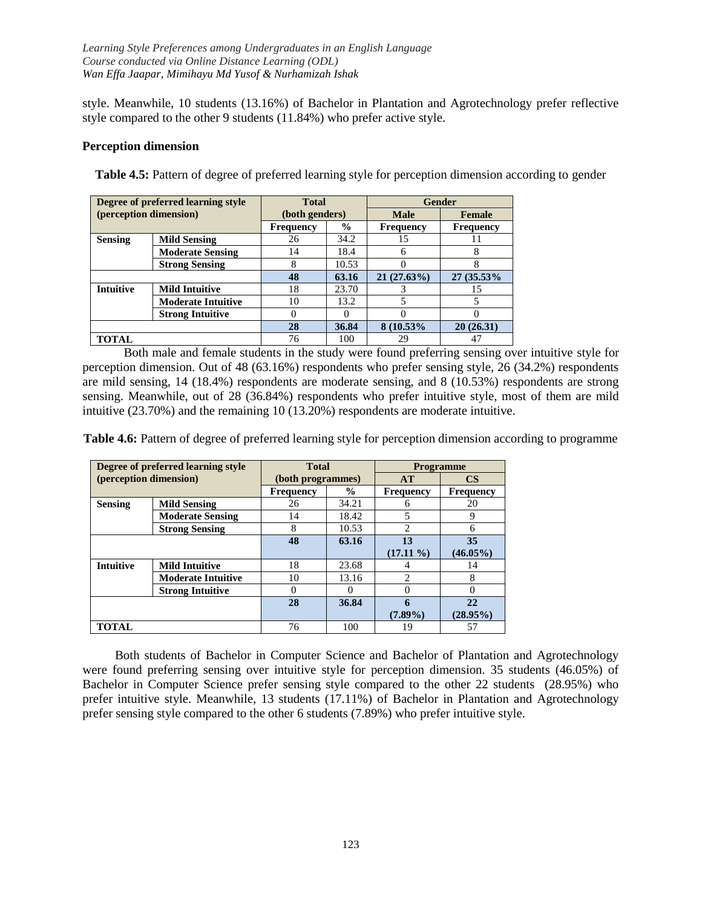style. Meanwhile, 10 students (13.16%) of Bachelor in Plantation and Agrotechnology prefer reflective style compared to the other 9 students (11.84%) who prefer active style.

## **Perception dimension**

|                  | Degree of preferred learning style | <b>Total</b> |                |                  | Gender           |
|------------------|------------------------------------|--------------|----------------|------------------|------------------|
|                  | (perception dimension)             |              | (both genders) |                  | Female           |
|                  |                                    | Frequency    | $\%$           | <b>Frequency</b> | <b>Frequency</b> |
| <b>Sensing</b>   | <b>Mild Sensing</b>                | 26           | 34.2           | 15               | 11               |
|                  | <b>Moderate Sensing</b>            | 14           | 18.4           | 6                | 8                |
|                  | <b>Strong Sensing</b>              | 8            | 10.53          |                  | 8                |
|                  |                                    | 48           | 63.16          | 21(27.63%)       | 27 (35.53%)      |
| <b>Intuitive</b> | <b>Mild Intuitive</b>              | 18           | 23.70          |                  | 15               |
|                  | <b>Moderate Intuitive</b>          | 10           | 13.2           | 5                | 5                |
|                  | <b>Strong Intuitive</b>            | 0            |                |                  |                  |
|                  |                                    | 28           | 36.84          | 8 (10.53%)       | 20(26.31)        |
| <b>TOTAL</b>     |                                    | 76           | 100            | 29               | 47               |

**Table 4.5:** Pattern of degree of preferred learning style for perception dimension according to gender

Both male and female students in the study were found preferring sensing over intuitive style for perception dimension. Out of 48 (63.16%) respondents who prefer sensing style, 26 (34.2%) respondents are mild sensing, 14 (18.4%) respondents are moderate sensing, and 8 (10.53%) respondents are strong sensing. Meanwhile, out of 28 (36.84%) respondents who prefer intuitive style, most of them are mild intuitive (23.70%) and the remaining 10 (13.20%) respondents are moderate intuitive.

**Table 4.6:** Pattern of degree of preferred learning style for perception dimension according to programme

|                  | Degree of preferred learning style | <b>Total</b>      |               | <b>Programme</b> |                  |  |
|------------------|------------------------------------|-------------------|---------------|------------------|------------------|--|
|                  | (perception dimension)             | (both programmes) |               | AT               | <b>CS</b>        |  |
|                  |                                    | <b>Frequency</b>  | $\frac{0}{0}$ | <b>Frequency</b> | <b>Frequency</b> |  |
| <b>Sensing</b>   | <b>Mild Sensing</b>                | 26                | 34.21         | n                | 20               |  |
|                  | <b>Moderate Sensing</b>            | 14                | 18.42         |                  | 9                |  |
|                  | <b>Strong Sensing</b>              | 8                 | 10.53         |                  | 6                |  |
|                  |                                    | 48                | 63.16         | 13               | 35               |  |
|                  |                                    |                   |               | $(17.11\%)$      | $(46.05\%)$      |  |
| <b>Intuitive</b> | <b>Mild Intuitive</b>              | 18                | 23.68         |                  | 14               |  |
|                  | <b>Moderate Intuitive</b>          | 10                | 13.16         | $\mathcal{L}$    | 8                |  |
|                  | <b>Strong Intuitive</b>            | 0                 |               |                  |                  |  |
|                  |                                    | 28                | 36.84         |                  | 22               |  |
|                  |                                    |                   |               | $(7.89\%)$       | $(28.95\%)$      |  |
| <b>TOTAL</b>     |                                    | 76                | 100           | 19               | 57               |  |

Both students of Bachelor in Computer Science and Bachelor of Plantation and Agrotechnology were found preferring sensing over intuitive style for perception dimension. 35 students (46.05%) of Bachelor in Computer Science prefer sensing style compared to the other 22 students (28.95%) who prefer intuitive style. Meanwhile, 13 students (17.11%) of Bachelor in Plantation and Agrotechnology prefer sensing style compared to the other 6 students (7.89%) who prefer intuitive style.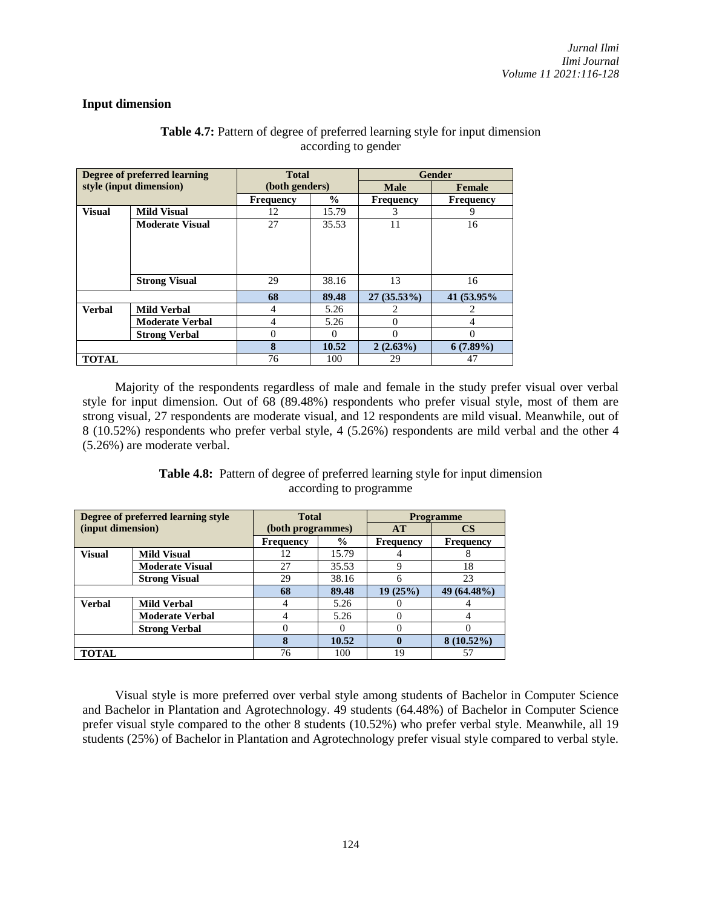## **Input dimension**

|               | Degree of preferred learning | <b>Total</b>     |               |                  | <b>Gender</b>    |
|---------------|------------------------------|------------------|---------------|------------------|------------------|
|               | style (input dimension)      | (both genders)   |               | <b>Male</b>      | <b>Female</b>    |
|               |                              | <b>Frequency</b> | $\frac{0}{0}$ | <b>Frequency</b> | <b>Frequency</b> |
| <b>Visual</b> | <b>Mild Visual</b>           | 12               | 15.79         | 3                | 9                |
|               | <b>Moderate Visual</b>       | 27               | 35.53         | 11               | 16               |
|               |                              |                  |               |                  |                  |
|               |                              |                  |               |                  |                  |
|               |                              |                  |               |                  |                  |
|               |                              |                  |               |                  |                  |
|               | <b>Strong Visual</b>         | 29               | 38.16         | 13               | 16               |
|               |                              | 68               | 89.48         | $27(35.53\%)$    | 41 (53.95%)      |
| <b>Verbal</b> | <b>Mild Verbal</b>           | 4                | 5.26          |                  |                  |
|               | <b>Moderate Verbal</b>       | 4                | 5.26          | 0                | 4                |
|               | <b>Strong Verbal</b>         | $\theta$         | $\Omega$      | 0                | 0                |
|               |                              | 8                | 10.52         | $2(2.63\%)$      | $6(7.89\%)$      |
| <b>TOTAL</b>  |                              | 76               | 100           | 29               | 47               |

# **Table 4.7:** Pattern of degree of preferred learning style for input dimension according to gender

Majority of the respondents regardless of male and female in the study prefer visual over verbal style for input dimension. Out of 68 (89.48%) respondents who prefer visual style, most of them are strong visual, 27 respondents are moderate visual, and 12 respondents are mild visual. Meanwhile, out of 8 (10.52%) respondents who prefer verbal style, 4 (5.26%) respondents are mild verbal and the other 4 (5.26%) are moderate verbal.

| <b>Table 4.8:</b> Pattern of degree of preferred learning style for input dimension |
|-------------------------------------------------------------------------------------|
| according to programme                                                              |

| Degree of preferred learning style |                        | <b>Total</b>      |               | <b>Programme</b> |                  |  |
|------------------------------------|------------------------|-------------------|---------------|------------------|------------------|--|
| (input dimension)                  |                        | (both programmes) |               | <b>AT</b>        | $\mathbf{CS}$    |  |
|                                    |                        | <b>Frequency</b>  | $\frac{0}{0}$ | <b>Frequency</b> | <b>Frequency</b> |  |
| <b>Visual</b>                      | <b>Mild Visual</b>     | 12                | 15.79         |                  | δ                |  |
|                                    | <b>Moderate Visual</b> | 27                | 35.53         | 9                | 18               |  |
|                                    | <b>Strong Visual</b>   | 29                | 38.16         | 6                | 23               |  |
|                                    |                        | 68                | 89.48         | 19(25%)          | 49 (64.48%)      |  |
| <b>Verbal</b>                      | <b>Mild Verbal</b>     | 4                 | 5.26          | O                |                  |  |
|                                    | <b>Moderate Verbal</b> | 4                 | 5.26          | $\Omega$         |                  |  |
|                                    | <b>Strong Verbal</b>   | 0                 |               | $\Omega$         |                  |  |
|                                    |                        | 8                 | 10.52         | $\mathbf 0$      | $8(10.52\%)$     |  |
| <b>TOTAL</b>                       |                        | 76                | 100           | 19               | 57               |  |

Visual style is more preferred over verbal style among students of Bachelor in Computer Science and Bachelor in Plantation and Agrotechnology. 49 students (64.48%) of Bachelor in Computer Science prefer visual style compared to the other 8 students (10.52%) who prefer verbal style. Meanwhile, all 19 students (25%) of Bachelor in Plantation and Agrotechnology prefer visual style compared to verbal style.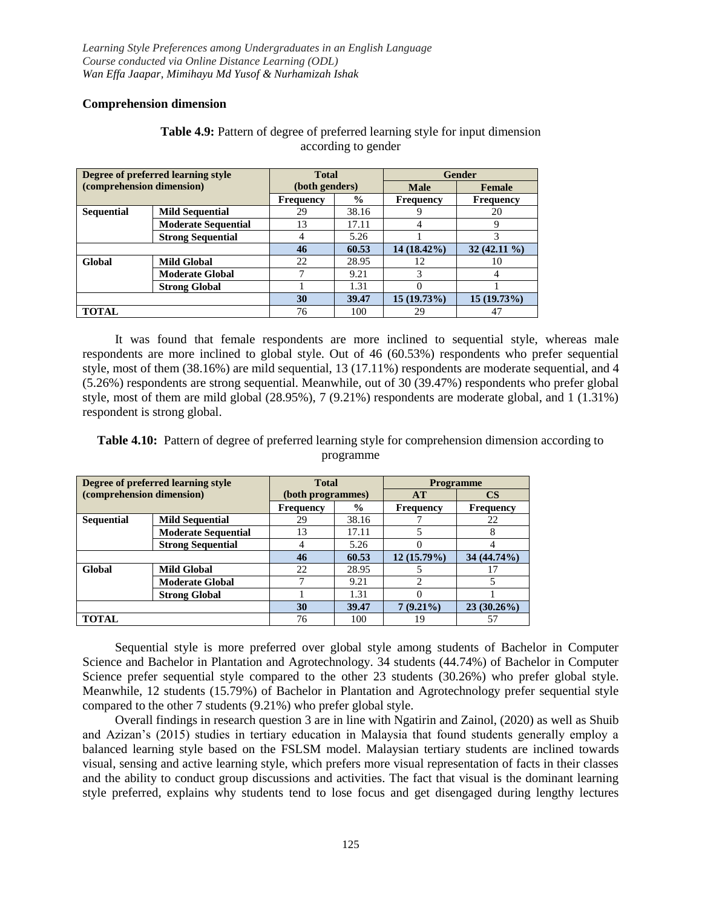## **Comprehension dimension**

| Degree of preferred learning style |                            | <b>Total</b>     |               | <b>Gender</b>    |                  |  |
|------------------------------------|----------------------------|------------------|---------------|------------------|------------------|--|
| (comprehension dimension)          |                            | (both genders)   |               | <b>Male</b>      | Female           |  |
|                                    |                            | <b>Frequency</b> | $\frac{0}{0}$ | <b>Frequency</b> | <b>Frequency</b> |  |
| <b>Sequential</b>                  | <b>Mild Sequential</b>     | 29               | 38.16         |                  | 20               |  |
|                                    | <b>Moderate Sequential</b> | 13               | 17.11         |                  | 9                |  |
|                                    | <b>Strong Sequential</b>   |                  | 5.26          |                  | 3                |  |
|                                    |                            | 46               | 60.53         | 14 (18.42%)      | $32(42.11\%)$    |  |
| Global                             | <b>Mild Global</b>         | 22               | 28.95         | 12               | 10               |  |
|                                    | <b>Moderate Global</b>     |                  | 9.21          |                  |                  |  |
|                                    | <b>Strong Global</b>       |                  | 1.31          |                  |                  |  |
|                                    |                            | 30               | 39.47         | $15(19.73\%)$    | $15(19.73\%)$    |  |
| <b>TOTAL</b>                       |                            | 76               | 100           | 29               | 47               |  |

## Table 4.9: Pattern of degree of preferred learning style for input dimension according to gender

It was found that female respondents are more inclined to sequential style, whereas male respondents are more inclined to global style. Out of 46 (60.53%) respondents who prefer sequential style, most of them (38.16%) are mild sequential, 13 (17.11%) respondents are moderate sequential, and 4 (5.26%) respondents are strong sequential. Meanwhile, out of 30 (39.47%) respondents who prefer global style, most of them are mild global (28.95%), 7 (9.21%) respondents are moderate global, and 1 (1.31%) respondent is strong global.

**Table 4.10:** Pattern of degree of preferred learning style for comprehension dimension according to programme

|                           | Degree of preferred learning style | <b>Total</b>      |               | <b>Programme</b> |                  |  |
|---------------------------|------------------------------------|-------------------|---------------|------------------|------------------|--|
| (comprehension dimension) |                                    | (both programmes) |               | AT               | CS               |  |
|                           |                                    | <b>Frequency</b>  | $\frac{0}{0}$ | <b>Frequency</b> | <b>Frequency</b> |  |
| <b>Sequential</b>         | <b>Mild Sequential</b>             | 29                | 38.16         |                  | 22               |  |
|                           | <b>Moderate Sequential</b>         | 13                | 17.11         |                  |                  |  |
|                           | <b>Strong Sequential</b>           |                   | 5.26          |                  |                  |  |
|                           |                                    | 46                | 60.53         | $12(15.79\%)$    | 34 (44.74%)      |  |
| Global                    | <b>Mild Global</b>                 | 22                | 28.95         |                  |                  |  |
|                           | <b>Moderate Global</b>             |                   | 9.21          | 2                |                  |  |
|                           | <b>Strong Global</b>               |                   | 1.31          |                  |                  |  |
|                           |                                    | 30                | 39.47         | $7(9.21\%)$      | $23(30.26\%)$    |  |
| <b>TOTAL</b>              |                                    | 76                | 100           | 19               | 57               |  |

Sequential style is more preferred over global style among students of Bachelor in Computer Science and Bachelor in Plantation and Agrotechnology. 34 students (44.74%) of Bachelor in Computer Science prefer sequential style compared to the other 23 students (30.26%) who prefer global style. Meanwhile, 12 students (15.79%) of Bachelor in Plantation and Agrotechnology prefer sequential style compared to the other 7 students (9.21%) who prefer global style.

Overall findings in research question 3 are in line with Ngatirin and Zainol, (2020) as well as Shuib and Azizan's (2015) studies in tertiary education in Malaysia that found students generally employ a balanced learning style based on the FSLSM model. Malaysian tertiary students are inclined towards visual, sensing and active learning style, which prefers more visual representation of facts in their classes and the ability to conduct group discussions and activities. The fact that visual is the dominant learning style preferred, explains why students tend to lose focus and get disengaged during lengthy lectures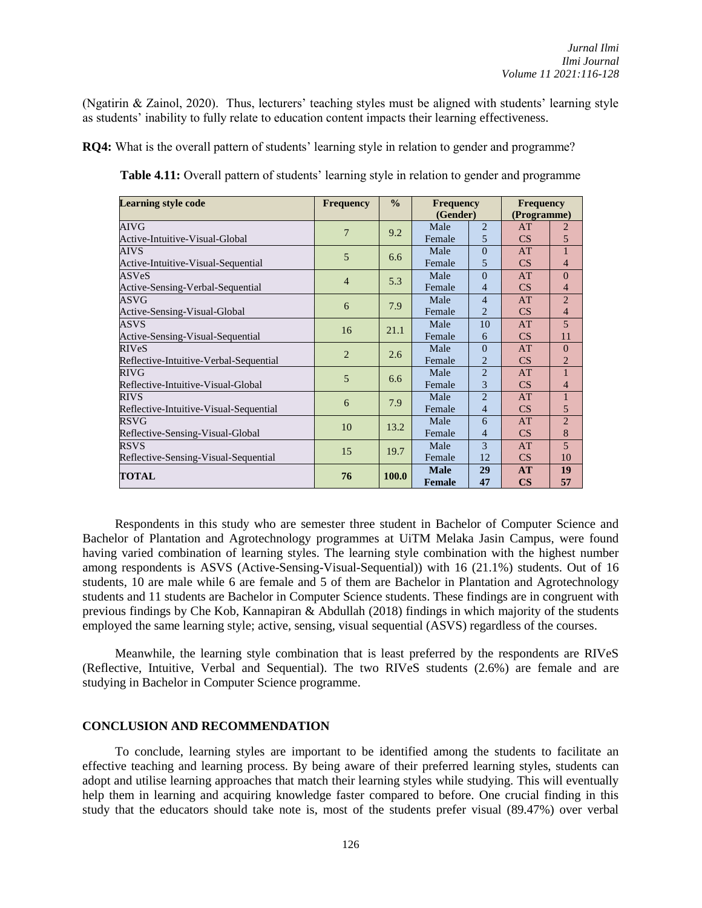(Ngatirin & Zainol, 2020). Thus, lecturers' teaching styles must be aligned with students' learning style as students' inability to fully relate to education content impacts their learning effectiveness.

**RQ4:** What is the overall pattern of students' learning style in relation to gender and programme?

| <b>Learning style code</b>             | <b>Frequency</b> | $\frac{0}{0}$ | <b>Frequency</b> |                | <b>Frequency</b> |                |
|----------------------------------------|------------------|---------------|------------------|----------------|------------------|----------------|
|                                        |                  |               | (Gender)         |                | (Programme)      |                |
| <b>AIVG</b>                            | $\overline{7}$   | 9.2           | Male             | $\overline{2}$ | AT               | 2              |
| Active-Intuitive-Visual-Global         |                  |               | Female           | 5              | CS               | 5              |
| AIVS                                   | 5                | 6.6           | Male             | $\Omega$       | AT               | 1              |
| Active-Intuitive-Visual-Sequential     |                  |               | Female           | 5              | CS               | $\overline{4}$ |
| <b>ASVeS</b>                           | $\overline{4}$   | 5.3           | Male             | $\theta$       | AT               | $\Omega$       |
| Active-Sensing-Verbal-Sequential       |                  |               | Female           | 4              | CS               | $\overline{4}$ |
| ASVG                                   | 6                | 7.9           | Male             | 4              | AT               | $\overline{2}$ |
| Active-Sensing-Visual-Global           |                  |               | Female           | 2              | CS               | $\overline{4}$ |
| ASVS                                   | 16               | 21.1          | Male             | 10             | AT               | 5 <sup>5</sup> |
| Active-Sensing-Visual-Sequential       |                  |               | Female           | 6              | CS               | 11             |
| <b>RIVeS</b>                           | $\overline{2}$   |               | Male             | $\Omega$       | AT               | $\Omega$       |
| Reflective-Intuitive-Verbal-Sequential |                  | 2.6           | Female           | $\overline{2}$ | CS               | $\overline{2}$ |
| RIVG                                   | 5                | 6.6           | Male             | $\overline{2}$ | AT               | $\mathbf{1}$   |
| Reflective-Intuitive-Visual-Global     |                  |               | Female           | 3              | CS               | $\overline{4}$ |
| <b>RIVS</b>                            | 6                | 7.9           | Male             | $\overline{2}$ | AT               | 1              |
| Reflective-Intuitive-Visual-Sequential |                  |               | Female           | $\overline{4}$ | CS               | 5              |
| RSVG                                   | 10               | 13.2          | Male             | 6              | AT               | $\overline{2}$ |
| Reflective-Sensing-Visual-Global       |                  |               | Female           | 4              | CS               | 8              |
| <b>RSVS</b>                            | 15               |               | Male             | 3              | AT               | 5              |
| Reflective-Sensing-Visual-Sequential   |                  | 19.7          | Female           | 12             | CS               | 10             |
| <b>TOTAL</b>                           | 76               | <b>100.0</b>  | <b>Male</b>      | 29             | AT               | 19             |
|                                        |                  |               | <b>Female</b>    | 47             | $\mathbf{CS}$    | 57             |

**Table 4.11:** Overall pattern of students' learning style in relation to gender and programme

Respondents in this study who are semester three student in Bachelor of Computer Science and Bachelor of Plantation and Agrotechnology programmes at UiTM Melaka Jasin Campus, were found having varied combination of learning styles. The learning style combination with the highest number among respondents is ASVS (Active-Sensing-Visual-Sequential)) with 16 (21.1%) students. Out of 16 students, 10 are male while 6 are female and 5 of them are Bachelor in Plantation and Agrotechnology students and 11 students are Bachelor in Computer Science students. These findings are in congruent with previous findings by Che Kob, Kannapiran & Abdullah (2018) findings in which majority of the students employed the same learning style; active, sensing, visual sequential (ASVS) regardless of the courses.

Meanwhile, the learning style combination that is least preferred by the respondents are RIVeS (Reflective, Intuitive, Verbal and Sequential). The two RIVeS students (2.6%) are female and are studying in Bachelor in Computer Science programme.

#### **CONCLUSION AND RECOMMENDATION**

To conclude, learning styles are important to be identified among the students to facilitate an effective teaching and learning process. By being aware of their preferred learning styles, students can adopt and utilise learning approaches that match their learning styles while studying. This will eventually help them in learning and acquiring knowledge faster compared to before. One crucial finding in this study that the educators should take note is, most of the students prefer visual (89.47%) over verbal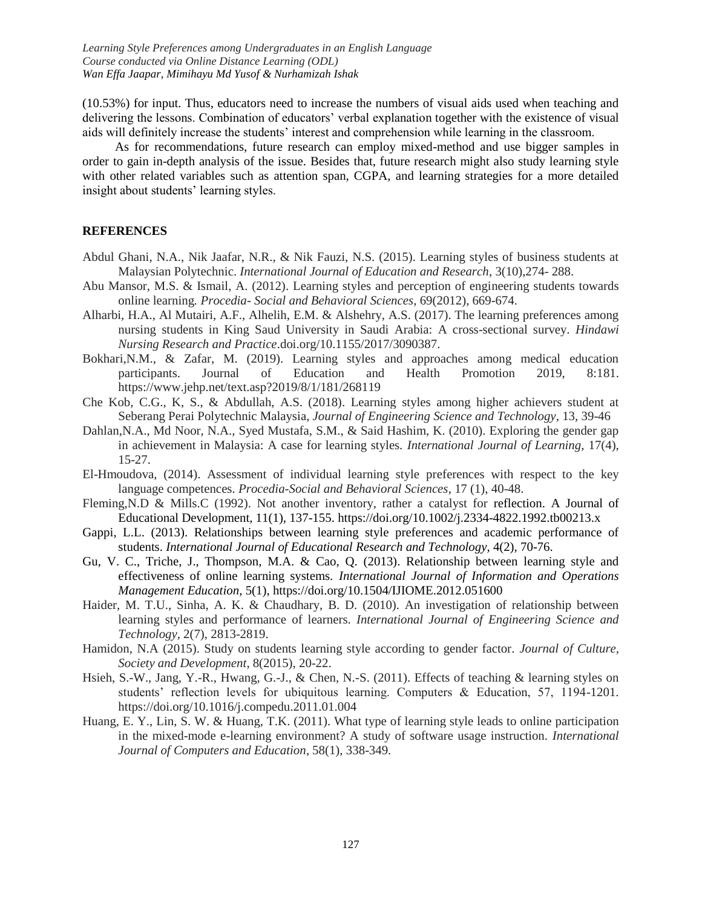(10.53%) for input. Thus, educators need to increase the numbers of visual aids used when teaching and delivering the lessons. Combination of educators' verbal explanation together with the existence of visual aids will definitely increase the students' interest and comprehension while learning in the classroom.

As for recommendations, future research can employ mixed-method and use bigger samples in order to gain in-depth analysis of the issue. Besides that, future research might also study learning style with other related variables such as attention span, CGPA, and learning strategies for a more detailed insight about students' learning styles.

#### **REFERENCES**

- Abdul Ghani, N.A., Nik Jaafar, N.R., & Nik Fauzi, N.S. (2015). Learning styles of business students at Malaysian Polytechnic. *International Journal of Education and Research*, 3(10),274- 288.
- Abu Mansor, M.S. & Ismail, A. (2012). Learning styles and perception of engineering students towards online learning*. Procedia- Social and Behavioral Sciences,* 69(2012), 669-674.
- Alharbi, H.A., Al Mutairi, A.F., Alhelih, E.M. & Alshehry, A.S. (2017). The learning preferences among nursing students in King Saud University in Saudi Arabia: A cross-sectional survey. *Hindawi Nursing Research and Practice*.doi.org/10.1155/2017/3090387.
- Bokhari,N.M., & Zafar, M. (2019). Learning styles and approaches among medical education participants. Journal of Education and Health Promotion 2019, 8:181. https://www.jehp.net/text.asp?2019/8/1/181/268119
- Che Kob, C.G., K, S., & Abdullah, A.S. (2018). Learning styles among higher achievers student at Seberang Perai Polytechnic Malaysia, *Journal of Engineering Science and Technology,* 13, 39-46
- Dahlan,N.A., Md Noor, N.A., Syed Mustafa, S.M., & Said Hashim, K. (2010). Exploring the gender gap in achievement in Malaysia: A case for learning styles. *International Journal of Learning,* 17(4), 15-27.
- El-Hmoudova, (2014). Assessment of individual learning style preferences with respect to the key language competences. *Procedia-Social and Behavioral Sciences*, 17 (1), 40-48.
- Fleming,N.D & Mills.C (1992). Not another inventory, rather a catalyst for reflection. A Journal of Educational Development, 11(1), 137-155.<https://doi.org/10.1002/j.2334-4822.1992.tb00213.x>
- Gappi, L.L. (2013). Relationships between learning style preferences and academic performance of students. *International Journal of Educational Research and Technology,* 4(2), 70-76.
- Gu, V. C., Triche, J., Thompson, M.A. & Cao, Q. (2013). Relationship between learning style and effectiveness of online learning systems. *International Journal of Information and Operations Management Education*, 5(1),<https://doi.org/10.1504/IJIOME.2012.051600>
- Haider, M. T.U., Sinha, A. K. & Chaudhary, B. D. (2010). An investigation of relationship between learning styles and performance of learners. *International Journal of Engineering Science and Technology*, 2(7), 2813-2819.
- Hamidon, N.A (2015). Study on students learning style according to gender factor. *Journal of Culture, Society and Development*, 8(2015), 20-22.
- Hsieh, S.-W., Jang, Y.-R., Hwang, G.-J., & Chen, N.-S. (2011). Effects of teaching & learning styles on students' reflection levels for ubiquitous learning. Computers & Education, 57, 1194-1201. https://doi.org/10.1016/j.compedu.2011.01.004
- Huang, E. Y., Lin, S. W. & Huang, T.K. (2011). What type of learning style leads to online participation in the mixed-mode e-learning environment? A study of software usage instruction. *International Journal of Computers and Education*, 58(1), 338-349.